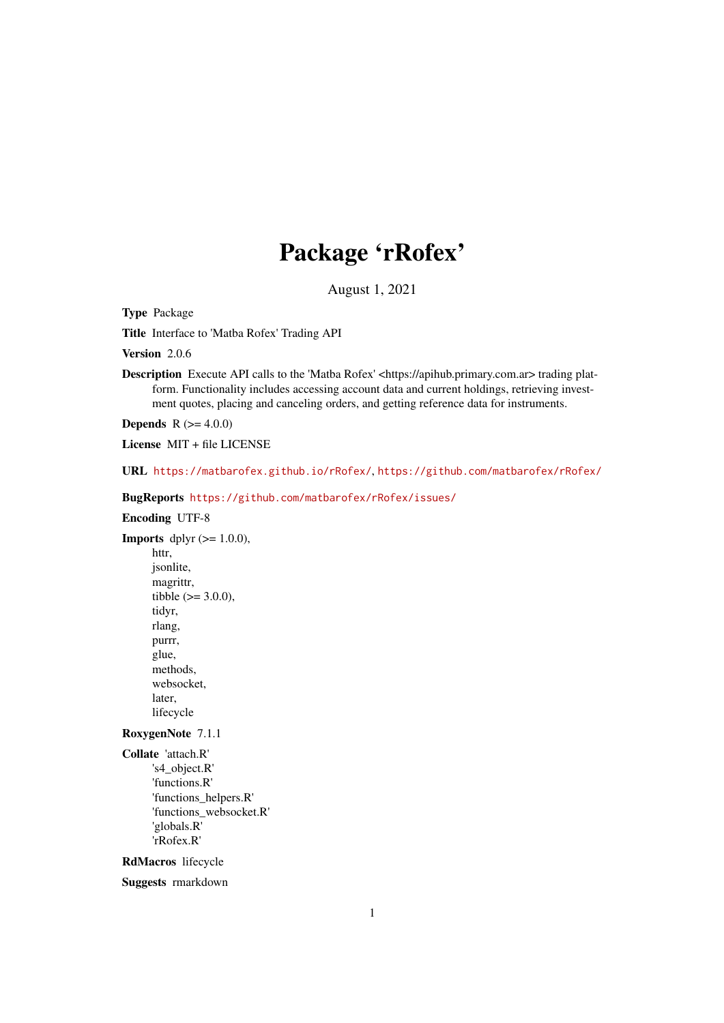# Package 'rRofex'

August 1, 2021

Type Package

Title Interface to 'Matba Rofex' Trading API

Version 2.0.6

Description Execute API calls to the 'Matba Rofex' <https://apihub.primary.com.ar> trading platform. Functionality includes accessing account data and current holdings, retrieving investment quotes, placing and canceling orders, and getting reference data for instruments.

**Depends**  $R (= 4.0.0)$ 

License MIT + file LICENSE

URL <https://matbarofex.github.io/rRofex/>, <https://github.com/matbarofex/rRofex/>

BugReports <https://github.com/matbarofex/rRofex/issues/>

Encoding UTF-8

**Imports** dplyr  $(>= 1.0.0)$ , httr, jsonlite, magrittr, tibble  $(>= 3.0.0)$ , tidyr, rlang, purrr, glue, methods, websocket, later, lifecycle

RoxygenNote 7.1.1

Collate 'attach.R' 's4\_object.R' 'functions.R' 'functions\_helpers.R' 'functions\_websocket.R' 'globals.R' 'rRofex.R'

RdMacros lifecycle

Suggests rmarkdown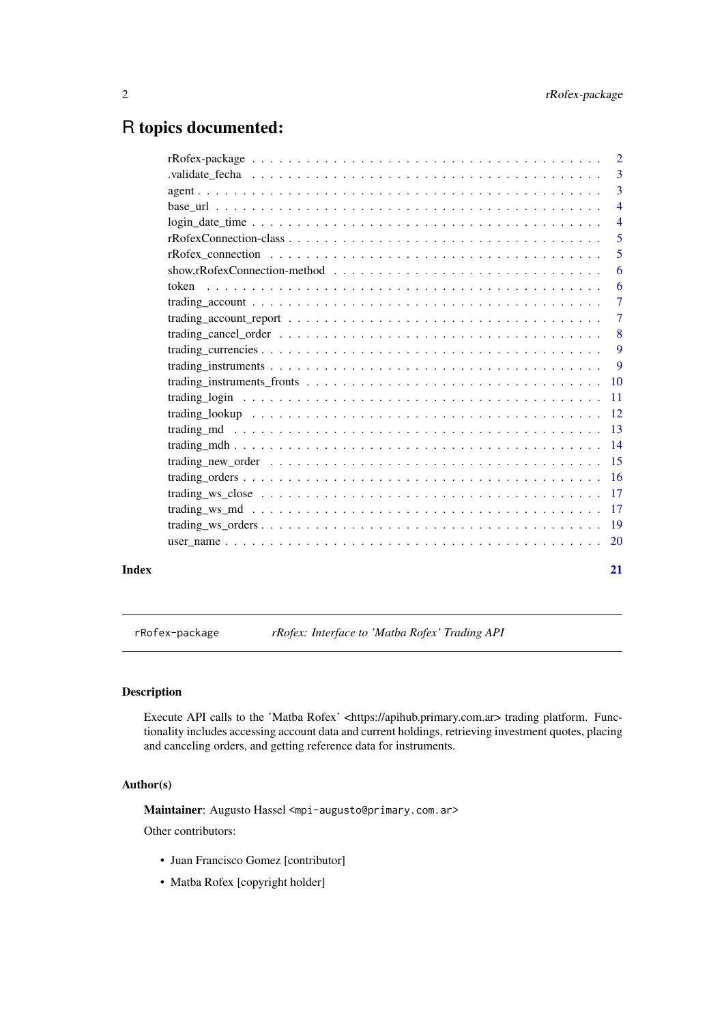# <span id="page-1-0"></span>R topics documented:

| $\overline{2}$                                                                                                                       |
|--------------------------------------------------------------------------------------------------------------------------------------|
| $\overline{3}$                                                                                                                       |
| $\overline{3}$                                                                                                                       |
| $\overline{4}$                                                                                                                       |
| $login\_date\_time \ldots \ldots \ldots \ldots \ldots \ldots \ldots \ldots \ldots \ldots \ldots \ldots \ldots$<br>$\overline{4}$     |
| $\overline{5}$                                                                                                                       |
| 5                                                                                                                                    |
| show, rRofex Connection-method $\ldots \ldots \ldots \ldots \ldots \ldots \ldots \ldots \ldots \ldots \ldots$<br>6                   |
| 6                                                                                                                                    |
| $\overline{7}$                                                                                                                       |
| $\overline{7}$<br>trading_account_report $\dots \dots \dots \dots \dots \dots \dots \dots \dots \dots \dots \dots \dots \dots \dots$ |
| 8                                                                                                                                    |
| 9                                                                                                                                    |
| 9                                                                                                                                    |
|                                                                                                                                      |
|                                                                                                                                      |
|                                                                                                                                      |
|                                                                                                                                      |
|                                                                                                                                      |
|                                                                                                                                      |
|                                                                                                                                      |
|                                                                                                                                      |
|                                                                                                                                      |
|                                                                                                                                      |
| 20                                                                                                                                   |
|                                                                                                                                      |

#### **Index** [21](#page-20-0)

rRofex-package *rRofex: Interface to 'Matba Rofex' Trading API*

#### Description

Execute API calls to the 'Matba Rofex' <https://apihub.primary.com.ar> trading platform. Functionality includes accessing account data and current holdings, retrieving investment quotes, placing and canceling orders, and getting reference data for instruments.

## Author(s)

Maintainer: Augusto Hassel <mpi-augusto@primary.com.ar>

Other contributors:

- Juan Francisco Gomez [contributor]
- Matba Rofex [copyright holder]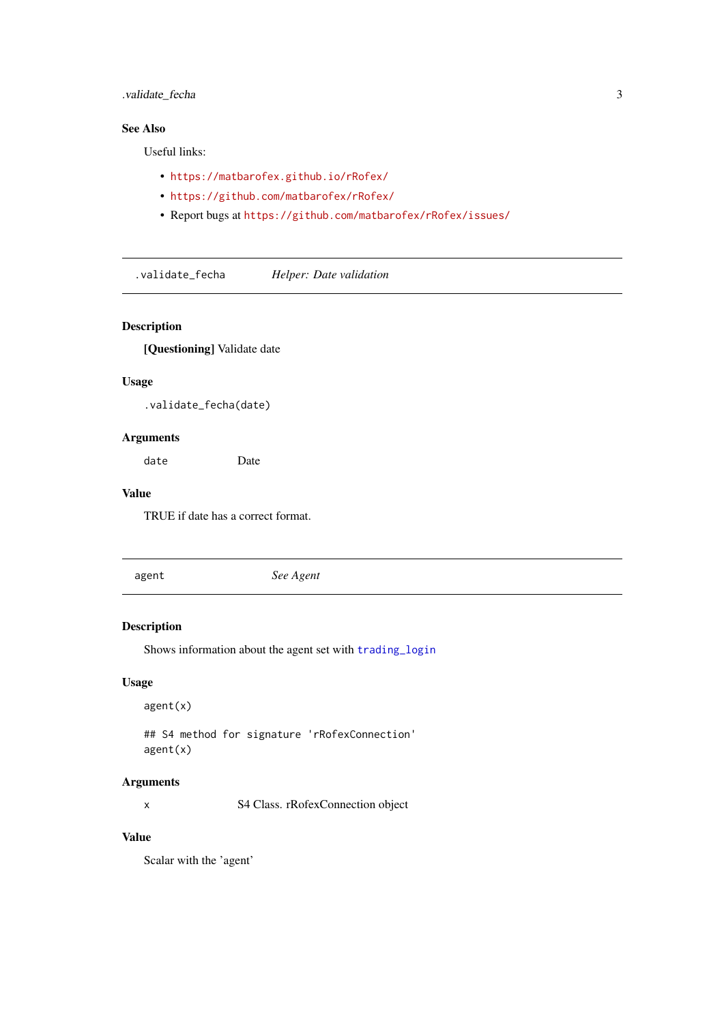#### <span id="page-2-0"></span>.validate\_fecha 3

#### See Also

Useful links:

- <https://matbarofex.github.io/rRofex/>
- <https://github.com/matbarofex/rRofex/>
- Report bugs at <https://github.com/matbarofex/rRofex/issues/>

.validate\_fecha *Helper: Date validation*

#### Description

[Questioning] Validate date

## Usage

.validate\_fecha(date)

#### Arguments

date Date

#### Value

TRUE if date has a correct format.

agent *See Agent*

#### Description

Shows information about the agent set with [trading\\_login](#page-10-1)

#### Usage

agent(x)

## S4 method for signature 'rRofexConnection' agent(x)

#### Arguments

x S4 Class. rRofexConnection object

#### Value

Scalar with the 'agent'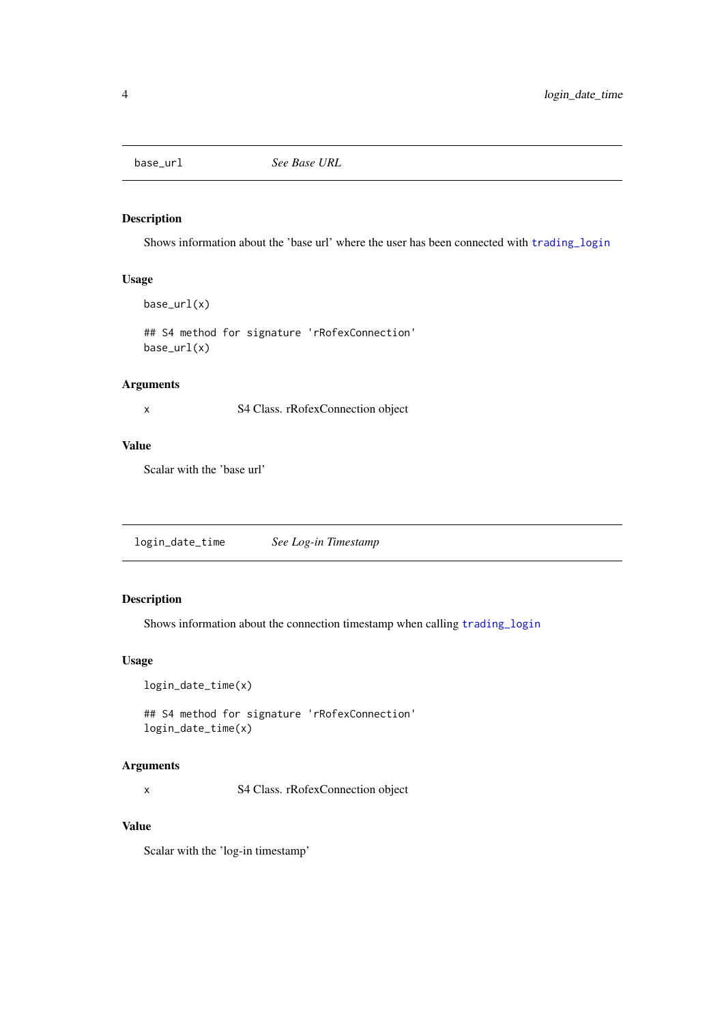<span id="page-3-0"></span>

#### Description

Shows information about the 'base url' where the user has been connected with [trading\\_login](#page-10-1)

#### Usage

base\_url(x)

## S4 method for signature 'rRofexConnection' base\_url(x)

#### Arguments

x S4 Class. rRofexConnection object

## Value

Scalar with the 'base url'

login\_date\_time *See Log-in Timestamp*

# Description

Shows information about the connection timestamp when calling [trading\\_login](#page-10-1)

## Usage

login\_date\_time(x)

## S4 method for signature 'rRofexConnection' login\_date\_time(x)

#### Arguments

x S4 Class. rRofexConnection object

## Value

Scalar with the 'log-in timestamp'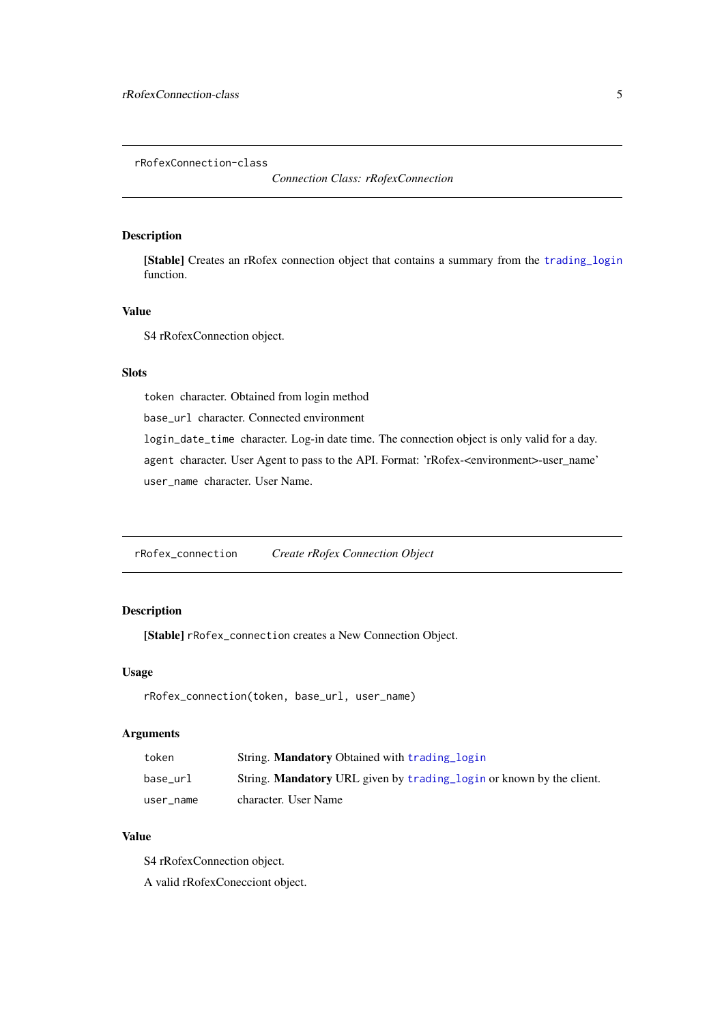<span id="page-4-0"></span>rRofexConnection-class

*Connection Class: rRofexConnection*

## Description

[Stable] Creates an rRofex connection object that contains a summary from the [trading\\_login](#page-10-1) function.

#### Value

S4 rRofexConnection object.

## Slots

token character. Obtained from login method

base\_url character. Connected environment

login\_date\_time character. Log-in date time. The connection object is only valid for a day. agent character. User Agent to pass to the API. Format: 'rRofex-<environment>-user\_name' user\_name character. User Name.

rRofex\_connection *Create rRofex Connection Object*

## Description

[Stable] rRofex\_connection creates a New Connection Object.

#### Usage

```
rRofex_connection(token, base_url, user_name)
```
#### Arguments

| token     | String. <b>Mandatory</b> Obtained with trading login                        |
|-----------|-----------------------------------------------------------------------------|
| base url  | String. <b>Mandatory</b> URL given by trading login or known by the client. |
| user name | character. User Name                                                        |

## Value

S4 rRofexConnection object.

A valid rRofexConecciont object.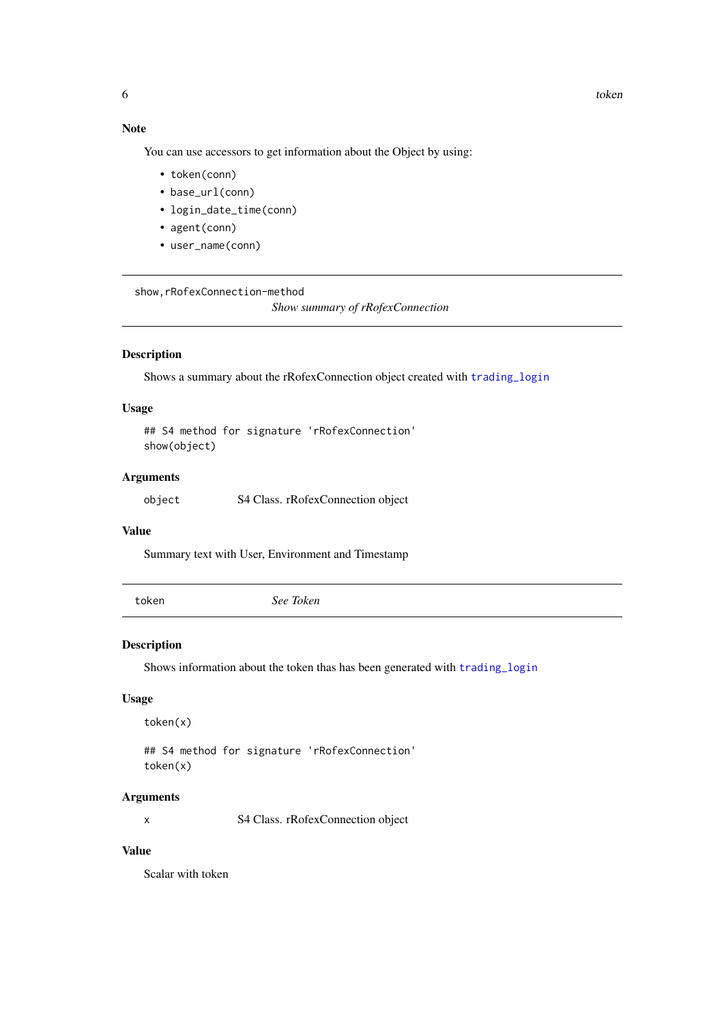## Note

You can use accessors to get information about the Object by using:

- token(conn)
- base\_url(conn)
- login\_date\_time(conn)
- agent(conn)
- user\_name(conn)

show,rRofexConnection-method

*Show summary of rRofexConnection*

#### Description

Shows a summary about the rRofexConnection object created with [trading\\_login](#page-10-1)

## Usage

```
## S4 method for signature 'rRofexConnection'
show(object)
```
#### Arguments

object S4 Class. rRofexConnection object

#### Value

Summary text with User, Environment and Timestamp

token *See Token*

#### Description

Shows information about the token thas has been generated with [trading\\_login](#page-10-1)

#### Usage

token(x)

## S4 method for signature 'rRofexConnection' token(x)

#### Arguments

x S4 Class. rRofexConnection object

#### Value

Scalar with token

<span id="page-5-0"></span>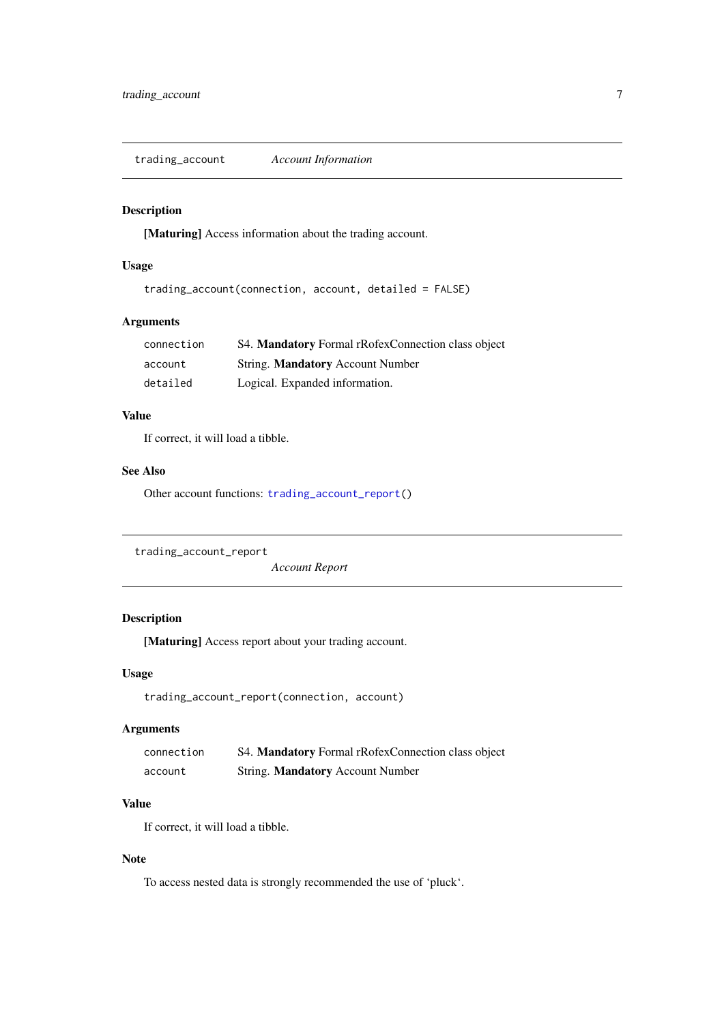<span id="page-6-2"></span><span id="page-6-0"></span>trading\_account *Account Information*

#### Description

[Maturing] Access information about the trading account.

## Usage

```
trading_account(connection, account, detailed = FALSE)
```
#### Arguments

| connection | S4. Mandatory Formal rRofexConnection class object |
|------------|----------------------------------------------------|
| account    | String. <b>Mandatory</b> Account Number            |
| detailed   | Logical. Expanded information.                     |

#### Value

If correct, it will load a tibble.

#### See Also

Other account functions: [trading\\_account\\_report\(](#page-6-1))

```
trading_account_report
```
*Account Report*

## Description

[Maturing] Access report about your trading account.

#### Usage

```
trading_account_report(connection, account)
```
#### Arguments

| connection | S4. Mandatory Formal rRofexConnection class object |
|------------|----------------------------------------------------|
| account    | String. Mandatory Account Number                   |

# Value

If correct, it will load a tibble.

## Note

To access nested data is strongly recommended the use of 'pluck'.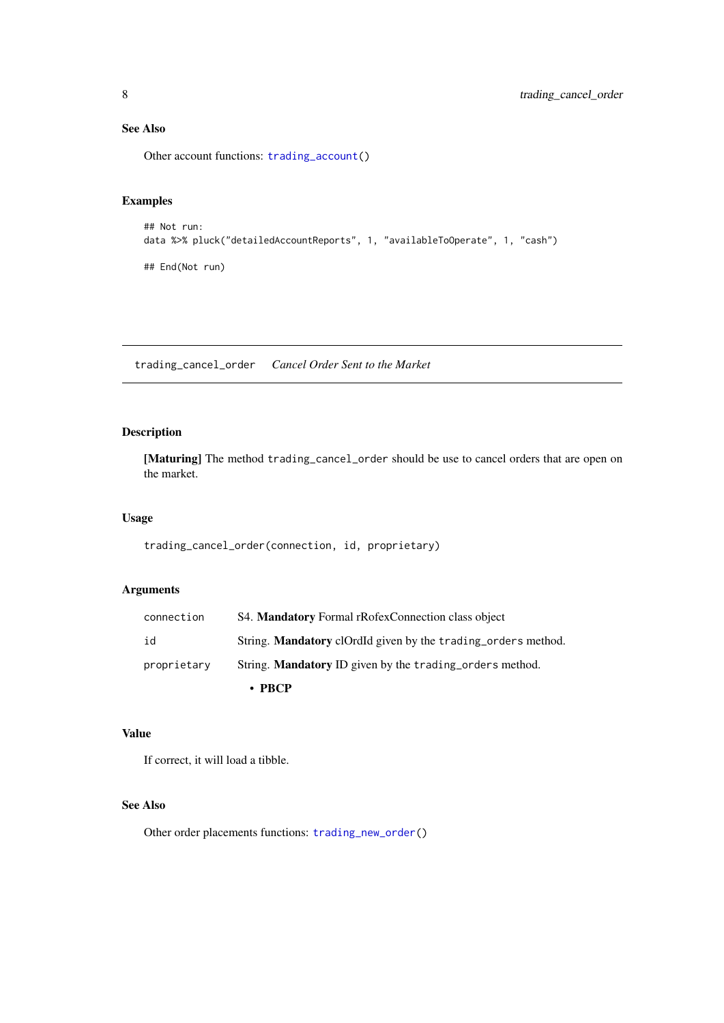## See Also

Other account functions: [trading\\_account\(](#page-6-2))

## Examples

```
## Not run:
data %>% pluck("detailedAccountReports", 1, "availableToOperate", 1, "cash")
## End(Not run)
```
<span id="page-7-1"></span>trading\_cancel\_order *Cancel Order Sent to the Market*

## Description

[Maturing] The method trading\_cancel\_order should be use to cancel orders that are open on the market.

## Usage

trading\_cancel\_order(connection, id, proprietary)

#### Arguments

|             | $\cdot$ PRCP                                                         |
|-------------|----------------------------------------------------------------------|
| proprietary | String. <b>Mandatory</b> ID given by the trading orders method.      |
| id          | String. <b>Mandatory</b> clordld given by the trading orders method. |
| connection  | S4. Mandatory Formal rRofexConnection class object                   |

## Value

If correct, it will load a tibble.

#### See Also

Other order placements functions: [trading\\_new\\_order\(](#page-14-1))

<span id="page-7-0"></span>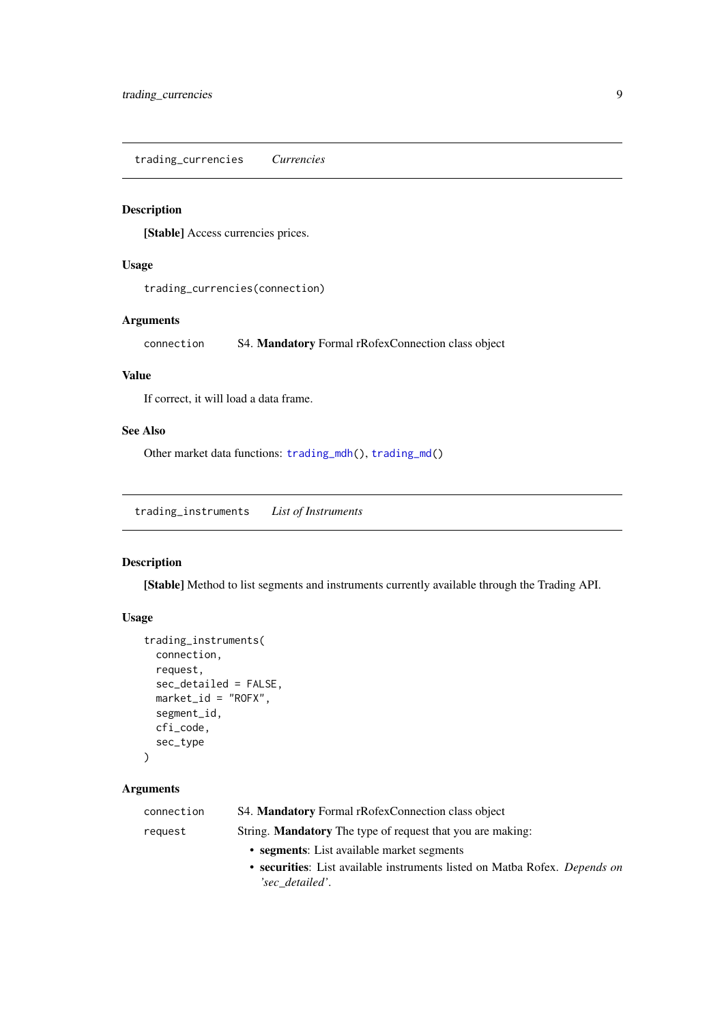<span id="page-8-2"></span><span id="page-8-0"></span>trading\_currencies *Currencies*

#### Description

[Stable] Access currencies prices.

#### Usage

```
trading_currencies(connection)
```
#### Arguments

connection S4. Mandatory Formal rRofexConnection class object

#### Value

If correct, it will load a data frame.

## See Also

Other market data functions: [trading\\_mdh\(](#page-13-1)), [trading\\_md\(](#page-12-1))

<span id="page-8-1"></span>trading\_instruments *List of Instruments*

## Description

[Stable] Method to list segments and instruments currently available through the Trading API.

## Usage

```
trading_instruments(
  connection,
  request,
  sec_detailed = FALSE,
  market_id = "ROFX",segment_id,
  cfi_code,
  sec_type
)
```
#### Arguments

| connection | S4. Mandatory Formal rRofexConnection class object                         |
|------------|----------------------------------------------------------------------------|
| request    | String. <b>Mandatory</b> The type of request that you are making:          |
|            | • segments: List available market segments                                 |
|            | • securities: List available instruments listed on Matba Rofex. Depends on |
|            | 'sec detailed'.                                                            |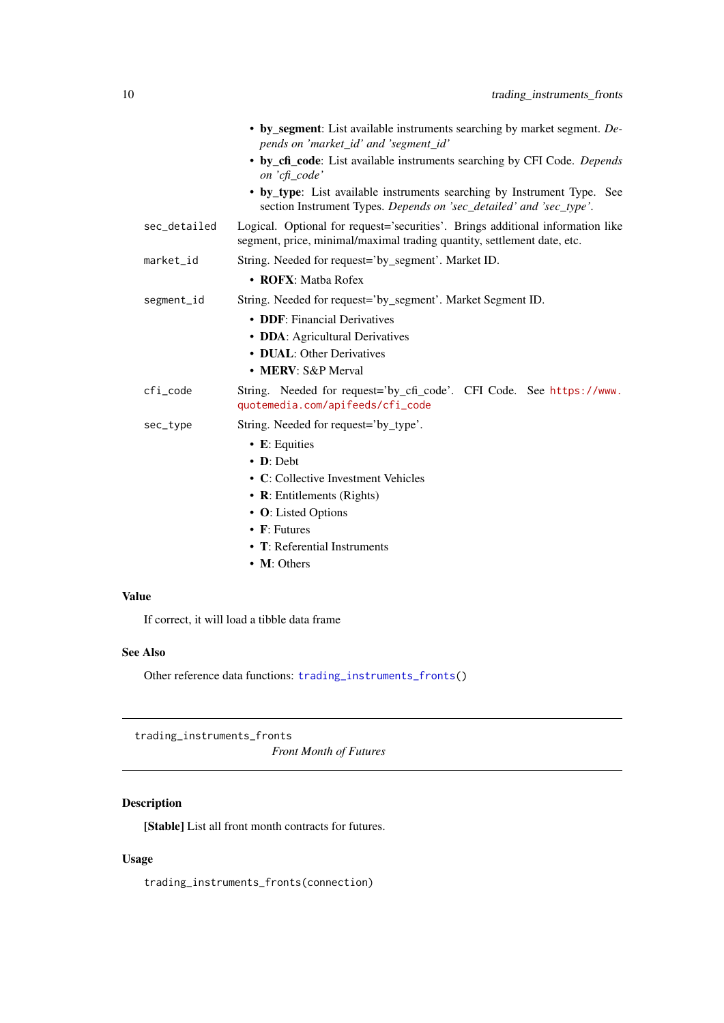<span id="page-9-0"></span>

|              | • by_segment: List available instruments searching by market segment. De-<br>pends on 'market_id' and 'segment_id'                                        |
|--------------|-----------------------------------------------------------------------------------------------------------------------------------------------------------|
|              | • by_cfi_code: List available instruments searching by CFI Code. Depends<br>on 'cfi_code'                                                                 |
|              | • by type: List available instruments searching by Instrument Type. See<br>section Instrument Types. Depends on 'sec_detailed' and 'sec_type'.            |
| sec_detailed | Logical. Optional for request='securities'. Brings additional information like<br>segment, price, minimal/maximal trading quantity, settlement date, etc. |
| market_id    | String. Needed for request='by_segment'. Market ID.                                                                                                       |
|              | • ROFX: Matba Rofex                                                                                                                                       |
| segment_id   | String. Needed for request='by_segment'. Market Segment ID.                                                                                               |
|              | • DDF: Financial Derivatives                                                                                                                              |
|              | • DDA: Agricultural Derivatives                                                                                                                           |
|              | • DUAL: Other Derivatives                                                                                                                                 |
|              | • MERV: S&P Merval                                                                                                                                        |
| $cfi$ code   | String. Needed for request='by_cfi_code'. CFI Code. See https://www.<br>quotemedia.com/apifeeds/cfi_code                                                  |
| sec_type     | String. Needed for request='by_type'.                                                                                                                     |
|              | • E: Equities                                                                                                                                             |
|              | $\bullet$ <b>D</b> : Debt                                                                                                                                 |
|              | • C: Collective Investment Vehicles                                                                                                                       |
|              | • R: Entitlements (Rights)                                                                                                                                |
|              | • O: Listed Options                                                                                                                                       |
|              | $\bullet$ F: Futures                                                                                                                                      |
|              | $\bullet$ T: Referential Instruments                                                                                                                      |
|              | • M: Others                                                                                                                                               |

## Value

If correct, it will load a tibble data frame

## See Also

Other reference data functions: [trading\\_instruments\\_fronts\(](#page-9-1))

<span id="page-9-1"></span>trading\_instruments\_fronts

*Front Month of Futures*

## Description

[Stable] List all front month contracts for futures.

# Usage

trading\_instruments\_fronts(connection)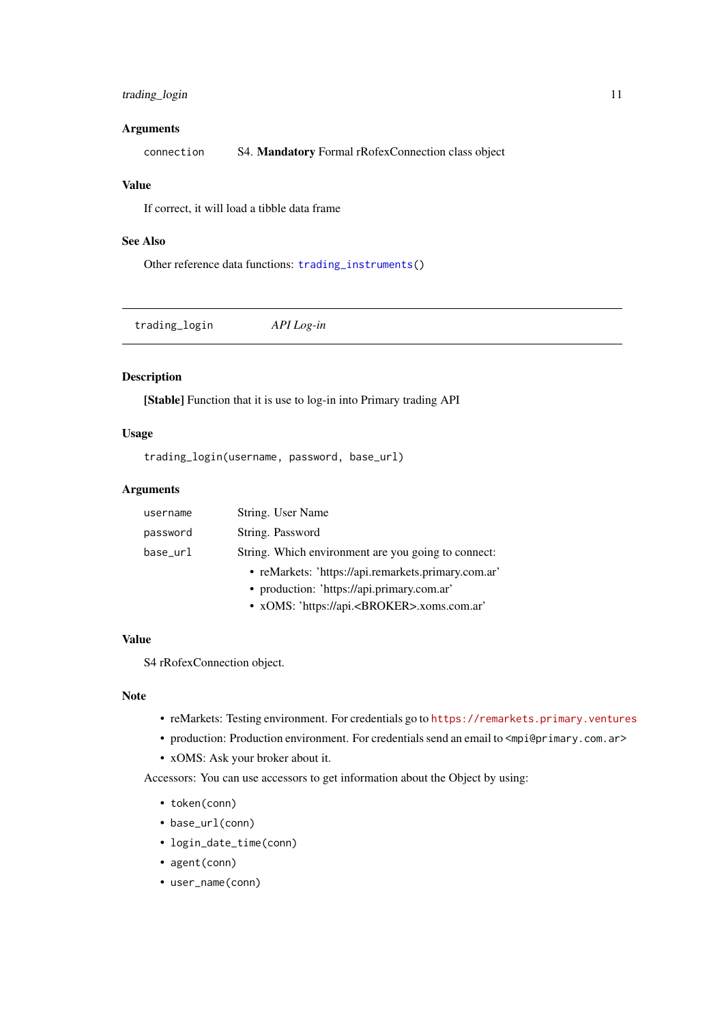#### <span id="page-10-0"></span>trading\_login 11

#### Arguments

connection S4. Mandatory Formal rRofexConnection class object

## Value

If correct, it will load a tibble data frame

#### See Also

Other reference data functions: [trading\\_instruments\(](#page-8-1))

<span id="page-10-1"></span>trading\_login *API Log-in*

#### Description

[Stable] Function that it is use to log-in into Primary trading API

## Usage

trading\_login(username, password, base\_url)

#### Arguments

| username | String. User Name                                   |
|----------|-----------------------------------------------------|
| password | String. Password                                    |
| base_url | String. Which environment are you going to connect: |
|          | • reMarkets: 'https://api.remarkets.primary.com.ar' |
|          | • production: 'https://api.primary.com.ar'          |
|          | -- -- -- -- -                                       |

• xOMS: 'https://api.<BROKER>.xoms.com.ar'

# Value

S4 rRofexConnection object.

#### Note

- reMarkets: Testing environment. For credentials go to <https://remarkets.primary.ventures>
- production: Production environment. For credentials send an email to  $\langle mpi\Theta\rho\cdot\text{rinary. com.} ar \rangle$
- xOMS: Ask your broker about it.

Accessors: You can use accessors to get information about the Object by using:

- token(conn)
- base\_url(conn)
- login\_date\_time(conn)
- agent(conn)
- user\_name(conn)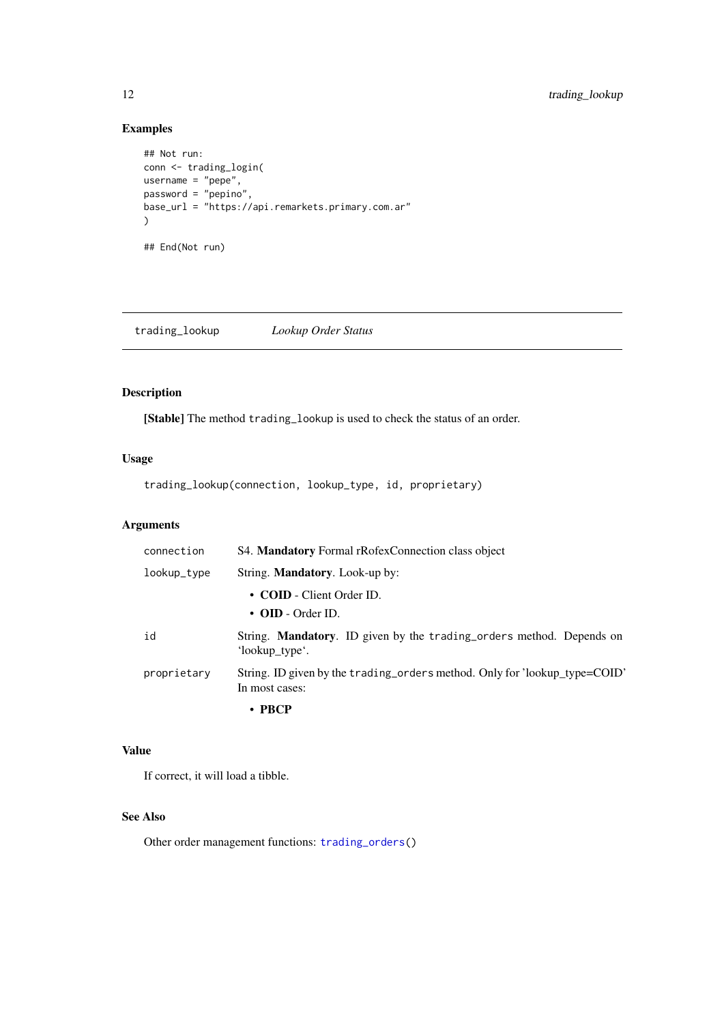## Examples

```
## Not run:
conn <- trading_login(
username = "pepe",password = "pepino",base_url = "https://api.remarkets.primary.com.ar"
)
## End(Not run)
```
<span id="page-11-1"></span>trading\_lookup *Lookup Order Status*

## Description

[Stable] The method trading\_lookup is used to check the status of an order.

## Usage

trading\_lookup(connection, lookup\_type, id, proprietary)

# Arguments

| connection  | S4. Mandatory Formal rRofexConnection class object                                            |
|-------------|-----------------------------------------------------------------------------------------------|
| lookup_type | String. <b>Mandatory</b> . Look-up by:                                                        |
|             | • COID - Client Order ID.<br>$\cdot$ OID - Order ID.                                          |
| id          | String. <b>Mandatory.</b> ID given by the trading orders method. Depends on<br>'lookup_type'. |
| proprietary | String. ID given by the trading_orders method. Only for 'lookup_type=COID'<br>In most cases:  |
|             | • PBCP                                                                                        |

## Value

If correct, it will load a tibble.

## See Also

Other order management functions: [trading\\_orders\(](#page-15-1))

<span id="page-11-0"></span>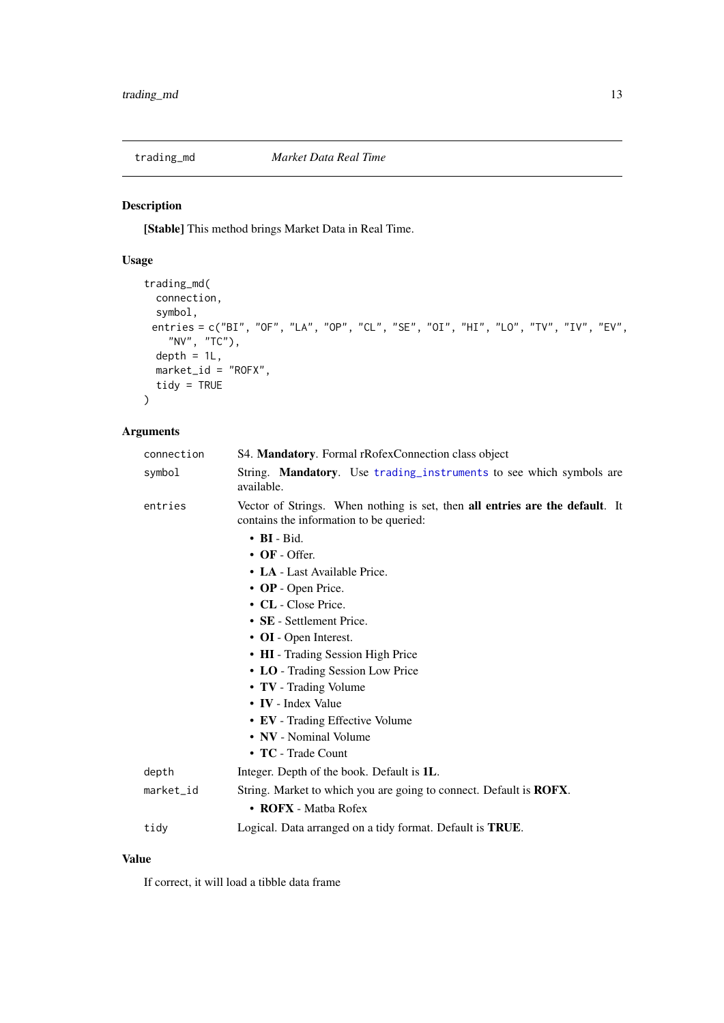<span id="page-12-1"></span><span id="page-12-0"></span>

# Description

[Stable] This method brings Market Data in Real Time.

# Usage

```
trading_md(
  connection,
  symbol,
 entries = c("BI", "OF", "LA", "OP", "CL", "SE", "OI", "HI", "LO", "TV", "IV", "EV",
   "NV", "TC"),
  depth = 1L,
  market_id = "ROFX",
  tidy = TRUE)
```
## Arguments

| connection | S4. Mandatory. Formal rRofexConnection class object                                                                     |
|------------|-------------------------------------------------------------------------------------------------------------------------|
| symbol     | String. Mandatory. Use trading_instruments to see which symbols are<br>available.                                       |
| entries    | Vector of Strings. When nothing is set, then all entries are the default. It<br>contains the information to be queried: |
|            | $\bullet$ BI - Bid.                                                                                                     |
|            | $\cdot$ OF - Offer.                                                                                                     |
|            | • LA - Last Available Price.                                                                                            |
|            | • OP - Open Price.                                                                                                      |
|            | • CL - Close Price.                                                                                                     |
|            | • SE - Settlement Price.                                                                                                |
|            | • OI - Open Interest.                                                                                                   |
|            | • HI - Trading Session High Price                                                                                       |
|            | • LO - Trading Session Low Price                                                                                        |
|            | • TV - Trading Volume                                                                                                   |
|            | • IV - Index Value                                                                                                      |
|            | • EV - Trading Effective Volume                                                                                         |
|            | • NV - Nominal Volume                                                                                                   |
|            | $\cdot$ TC - Trade Count                                                                                                |
| depth      | Integer. Depth of the book. Default is 1L.                                                                              |
| market_id  | String. Market to which you are going to connect. Default is <b>ROFX</b> .                                              |
|            | • $ROFX - Matha Rofex$                                                                                                  |
| tidy       | Logical. Data arranged on a tidy format. Default is TRUE.                                                               |

## Value

If correct, it will load a tibble data frame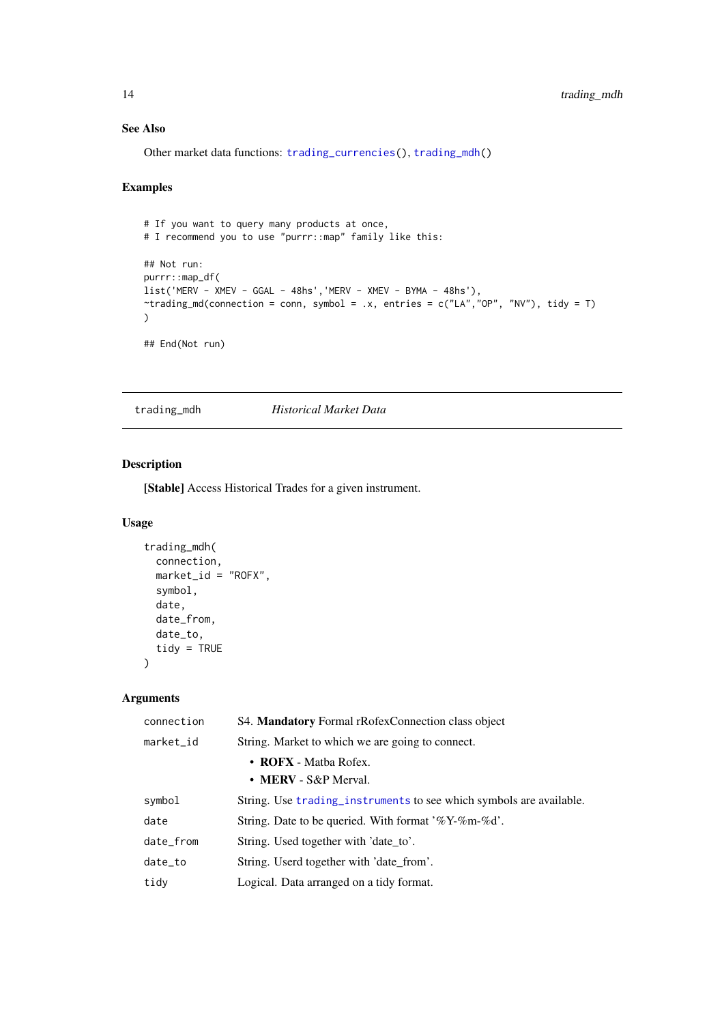#### See Also

Other market data functions: [trading\\_currencies\(](#page-8-2)), [trading\\_mdh\(](#page-13-1))

#### Examples

```
# If you want to query many products at once,
# I recommend you to use "purrr::map" family like this:
## Not run:
purrr::map_df(
list('MERV - XMEV - GGAL - 48hs','MERV - XMEV - BYMA - 48hs'),
\text{Trading\_md}(\text{connection = conn}, \text{ symbol = .x}, \text{ entries = c("LA", "OP", "NV"), tidy = T)}\lambda
```
## End(Not run)

<span id="page-13-1"></span>trading\_mdh *Historical Market Data*

#### Description

[Stable] Access Historical Trades for a given instrument.

#### Usage

```
trading_mdh(
  connection,
  market_id = "ROFX".symbol,
  date,
  date_from,
  date_to,
  tidy = TRUE)
```
#### Arguments

| connection | S4. Mandatory Formal rRofexConnection class object                  |
|------------|---------------------------------------------------------------------|
| market_id  | String. Market to which we are going to connect.                    |
|            | • ROFX - Matba Rofex.                                               |
|            | • MERV - $S\&P$ Merval.                                             |
| symbol     | String. Use trading_instruments to see which symbols are available. |
| date       | String. Date to be queried. With format '%Y-%m-%d'.                 |
| date_from  | String. Used together with 'date_to'.                               |
| date_to    | String. Userd together with 'date_from'.                            |
| tidy       | Logical. Data arranged on a tidy format.                            |

<span id="page-13-0"></span>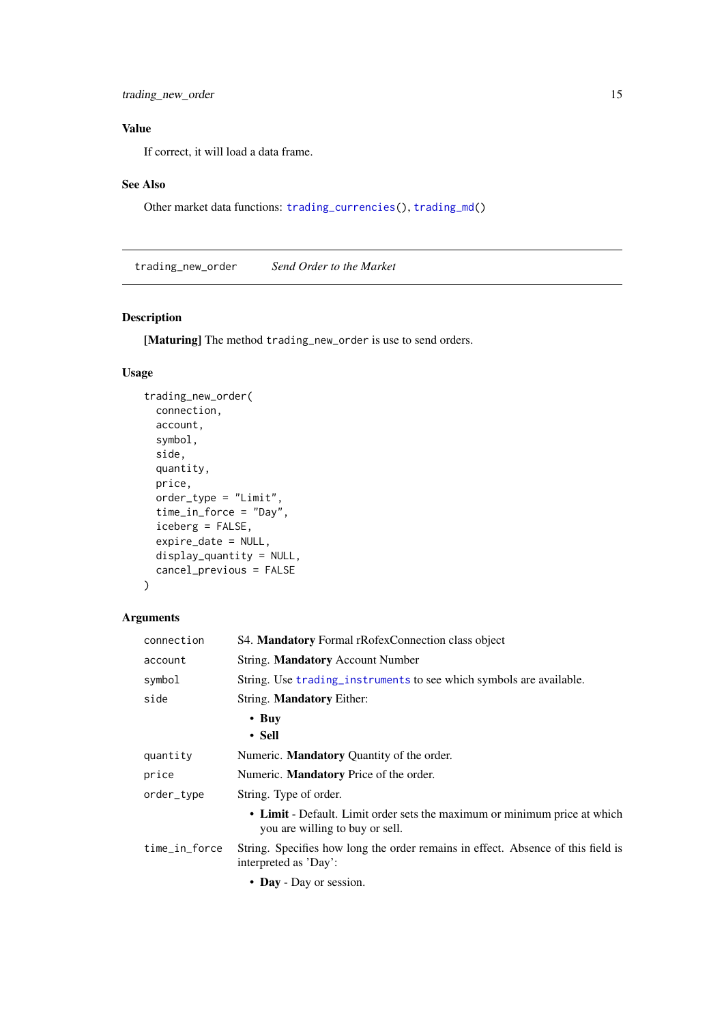<span id="page-14-0"></span>trading\_new\_order 15

## Value

If correct, it will load a data frame.

#### See Also

Other market data functions: [trading\\_currencies\(](#page-8-2)), [trading\\_md\(](#page-12-1))

<span id="page-14-1"></span>trading\_new\_order *Send Order to the Market*

#### Description

[Maturing] The method trading\_new\_order is use to send orders.

#### Usage

```
trading_new_order(
  connection,
  account,
  symbol,
  side,
  quantity,
  price,
  order_type = "Limit",
  time_in_force = "Day",
  iceberg = FALSE,
  expire_data = NULL,display_quantity = NULL,
  cancel_previous = FALSE
)
```
#### Arguments

| connection    | S4. Mandatory Formal rRofexConnection class object                                                           |
|---------------|--------------------------------------------------------------------------------------------------------------|
| account       | String. Mandatory Account Number                                                                             |
| symbol        | String. Use trading_instruments to see which symbols are available.                                          |
| side          | String. <b>Mandatory</b> Either:                                                                             |
|               | $\cdot$ Buy<br>$\cdot$ Sell                                                                                  |
| quantity      | Numeric. <b>Mandatory</b> Quantity of the order.                                                             |
| price         | Numeric. <b>Mandatory</b> Price of the order.                                                                |
| order_type    | String. Type of order.                                                                                       |
|               | • Limit - Default. Limit order sets the maximum or minimum price at which<br>you are willing to buy or sell. |
| time_in_force | String. Specifies how long the order remains in effect. Absence of this field is<br>interpreted as 'Day':    |
|               | • Day - Day or session.                                                                                      |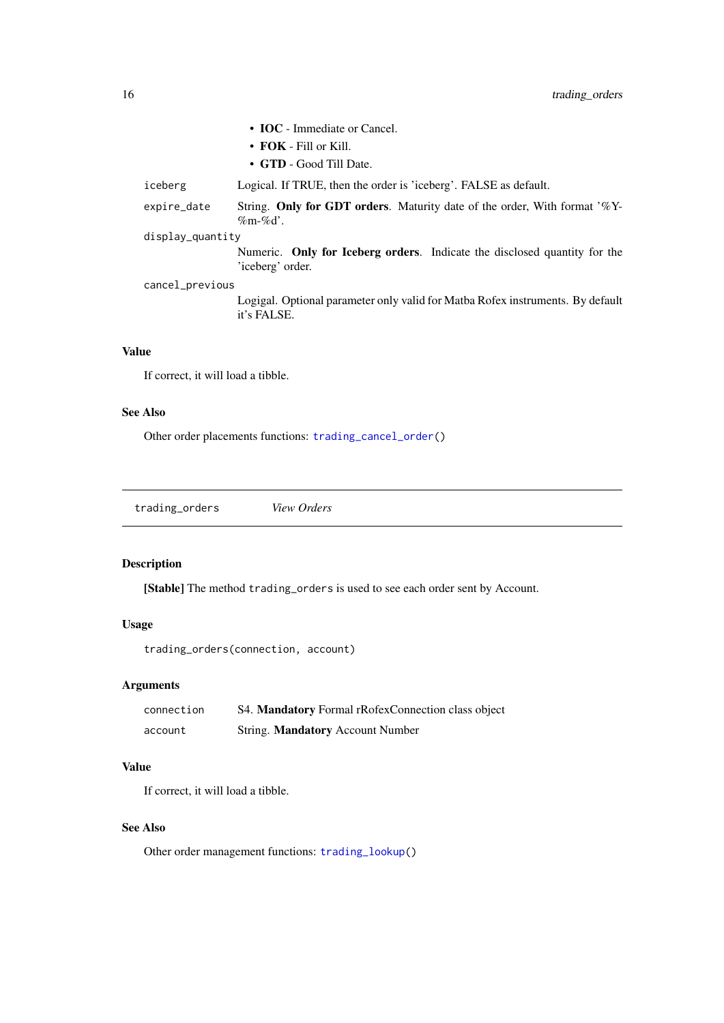<span id="page-15-0"></span>

|                  | • <b>IOC</b> - Immediate or Cancel.                                                      |
|------------------|------------------------------------------------------------------------------------------|
|                  | $\cdot$ FOK - Fill or Kill.                                                              |
|                  | • GTD - Good Till Date.                                                                  |
| iceberg          | Logical. If TRUE, then the order is 'iceberg'. FALSE as default.                         |
| expire_date      | String. Only for GDT orders. Maturity date of the order, With format '%Y-<br>$\%m-\%d'.$ |
| display_quantity |                                                                                          |
|                  | Numeric. Only for Iceberg orders. Indicate the disclosed quantity for the                |

sed quantity for the 'iceberg' order.

Logigal. Optional parameter only valid for Matba Rofex instruments. By default it's FALSE.

#### Value

If correct, it will load a tibble.

cancel\_previous

#### See Also

Other order placements functions: [trading\\_cancel\\_order\(](#page-7-1))

<span id="page-15-1"></span>trading\_orders *View Orders*

## Description

[Stable] The method trading\_orders is used to see each order sent by Account.

## Usage

```
trading_orders(connection, account)
```
## Arguments

| connection | S4. Mandatory Formal rRofexConnection class object |
|------------|----------------------------------------------------|
| account    | String. <b>Mandatory</b> Account Number            |

## Value

If correct, it will load a tibble.

## See Also

Other order management functions: [trading\\_lookup\(](#page-11-1))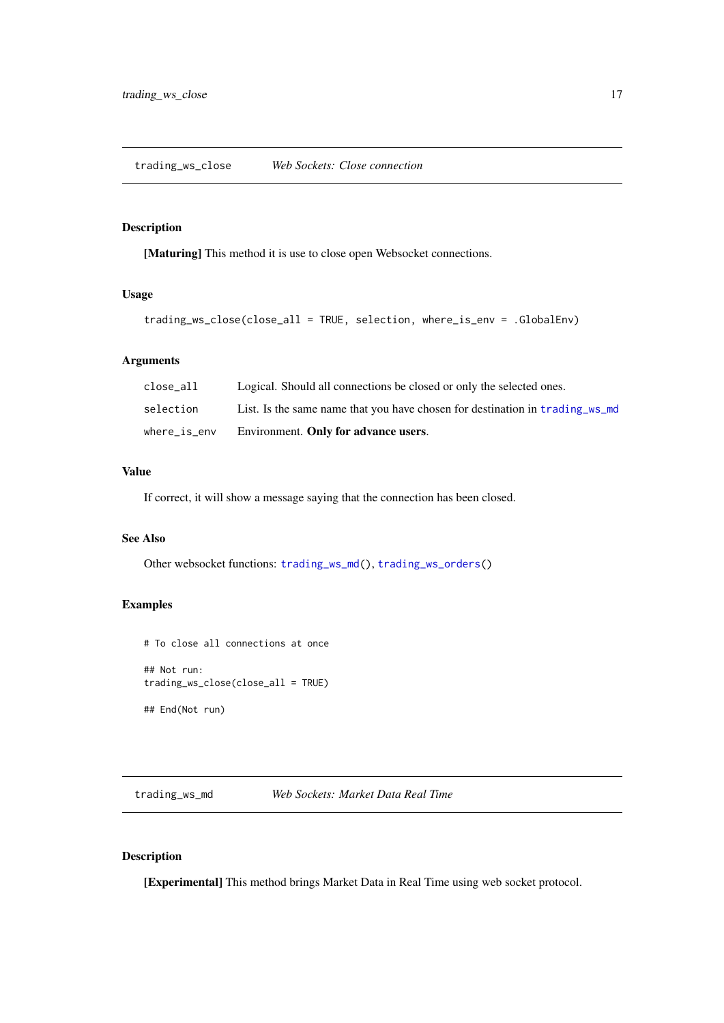<span id="page-16-2"></span><span id="page-16-0"></span>trading\_ws\_close *Web Sockets: Close connection*

#### Description

[Maturing] This method it is use to close open Websocket connections.

## Usage

```
trading_ws_close(close_all = TRUE, selection, where_is_env = .GlobalEnv)
```
#### Arguments

| $where_$  | Environment. Only for advance users.                                         |
|-----------|------------------------------------------------------------------------------|
| selection | List. Is the same name that you have chosen for destination in trading ws mo |
| close all | Logical. Should all connections be closed or only the selected ones.         |

## Value

If correct, it will show a message saying that the connection has been closed.

#### See Also

Other websocket functions: [trading\\_ws\\_md\(](#page-16-1)), [trading\\_ws\\_orders\(](#page-18-1))

# Examples

```
# To close all connections at once
## Not run:
trading_ws_close(close_all = TRUE)
## End(Not run)
```
<span id="page-16-1"></span>trading\_ws\_md *Web Sockets: Market Data Real Time*

## Description

[Experimental] This method brings Market Data in Real Time using web socket protocol.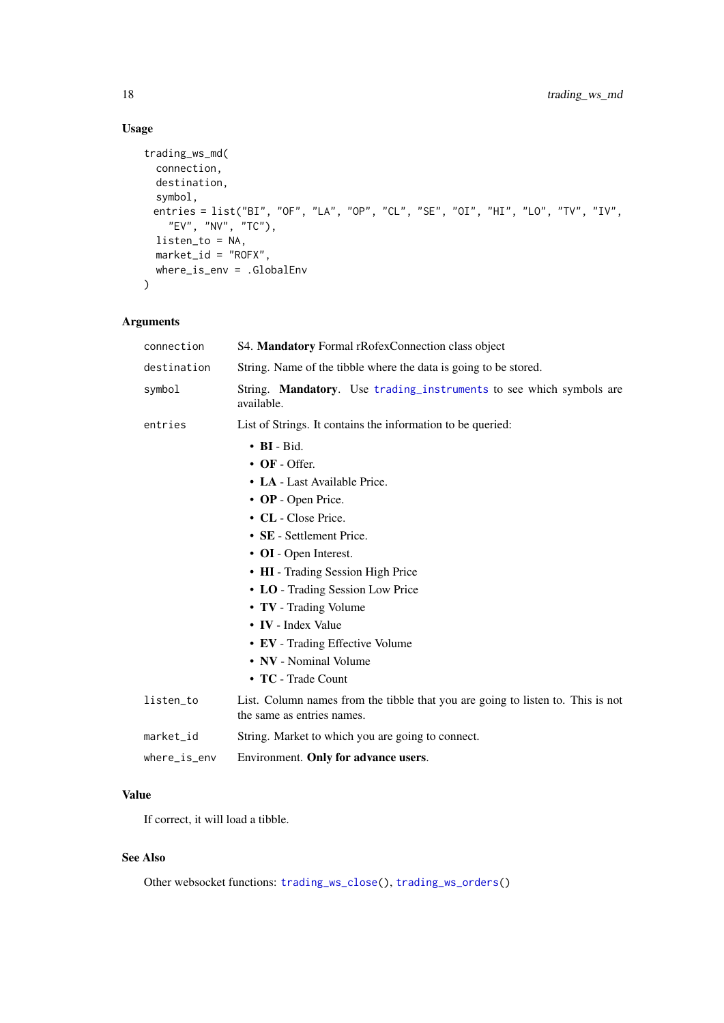## Usage

```
trading_ws_md(
  connection,
  destination,
  symbol,
 entries = list("BI", "OF", "LA", "OP", "CL", "SE", "OI", "HI", "LO", "TV", "IV",
   "EV", "NV", "TC"),
  listen_to = NA,
  market_id = "ROFX",where_is_env = .GlobalEnv
\lambda
```
## Arguments

| connection          | S4. Mandatory Formal rRofexConnection class object                                                            |
|---------------------|---------------------------------------------------------------------------------------------------------------|
| destination         | String. Name of the tibble where the data is going to be stored.                                              |
| symbol              | String. Mandatory. Use trading_instruments to see which symbols are<br>available.                             |
| entries             | List of Strings. It contains the information to be queried:                                                   |
|                     | $\bullet$ BI - Bid.                                                                                           |
|                     | $\bullet$ OF - Offer.                                                                                         |
|                     | • LA - Last Available Price.                                                                                  |
|                     | • OP - Open Price.                                                                                            |
|                     | • CL - Close Price.                                                                                           |
|                     | • SE - Settlement Price.                                                                                      |
|                     | • OI - Open Interest.                                                                                         |
|                     | • HI - Trading Session High Price                                                                             |
|                     | • LO - Trading Session Low Price                                                                              |
|                     | • TV - Trading Volume                                                                                         |
|                     | • IV - Index Value                                                                                            |
|                     | • EV - Trading Effective Volume                                                                               |
|                     | • NV - Nominal Volume                                                                                         |
|                     | • TC - Trade Count                                                                                            |
| listen_to           | List. Column names from the tibble that you are going to listen to. This is not<br>the same as entries names. |
| market_id           | String. Market to which you are going to connect.                                                             |
| $where_$ is $_$ env | Environment. Only for advance users.                                                                          |

# Value

If correct, it will load a tibble.

# See Also

Other websocket functions: [trading\\_ws\\_close\(](#page-16-2)), [trading\\_ws\\_orders\(](#page-18-1))

<span id="page-17-0"></span>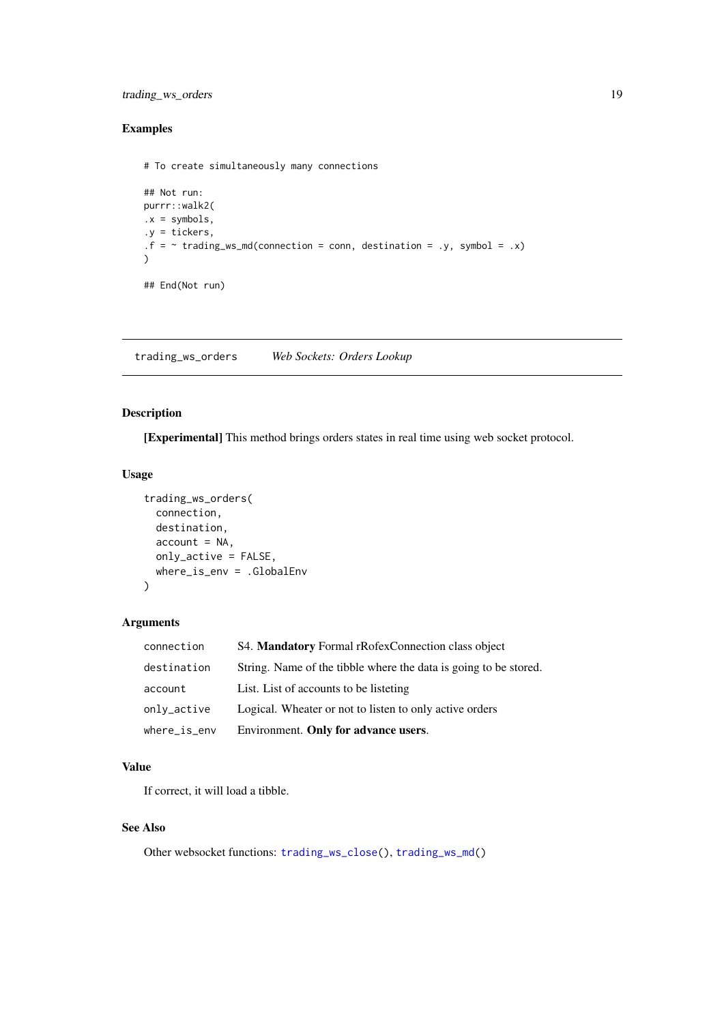#### <span id="page-18-0"></span>trading\_ws\_orders 19

#### Examples

```
# To create simultaneously many connections
```

```
## Not run:
purrr::walk2(
.x = symbols,.y = tickers,
.f = ~ t rading_ws_md(connection = conn, destination = .y, symbol = .x)
\lambda## End(Not run)
```
<span id="page-18-1"></span>trading\_ws\_orders *Web Sockets: Orders Lookup*

#### Description

[Experimental] This method brings orders states in real time using web socket protocol.

#### Usage

```
trading_ws_orders(
  connection,
  destination,
  account = NA,
  only_active = FALSE,
  where_is_env = .GlobalEnv
\lambda
```
#### Arguments

| connection          | S4. Mandatory Formal rRofexConnection class object               |
|---------------------|------------------------------------------------------------------|
| destination         | String. Name of the tibble where the data is going to be stored. |
| account             | List. List of accounts to be listeting.                          |
| only_active         | Logical. Wheater or not to listen to only active orders          |
| $where_$ is $_$ env | Environment. Only for advance users.                             |

## Value

If correct, it will load a tibble.

## See Also

Other websocket functions: [trading\\_ws\\_close\(](#page-16-2)), [trading\\_ws\\_md\(](#page-16-1))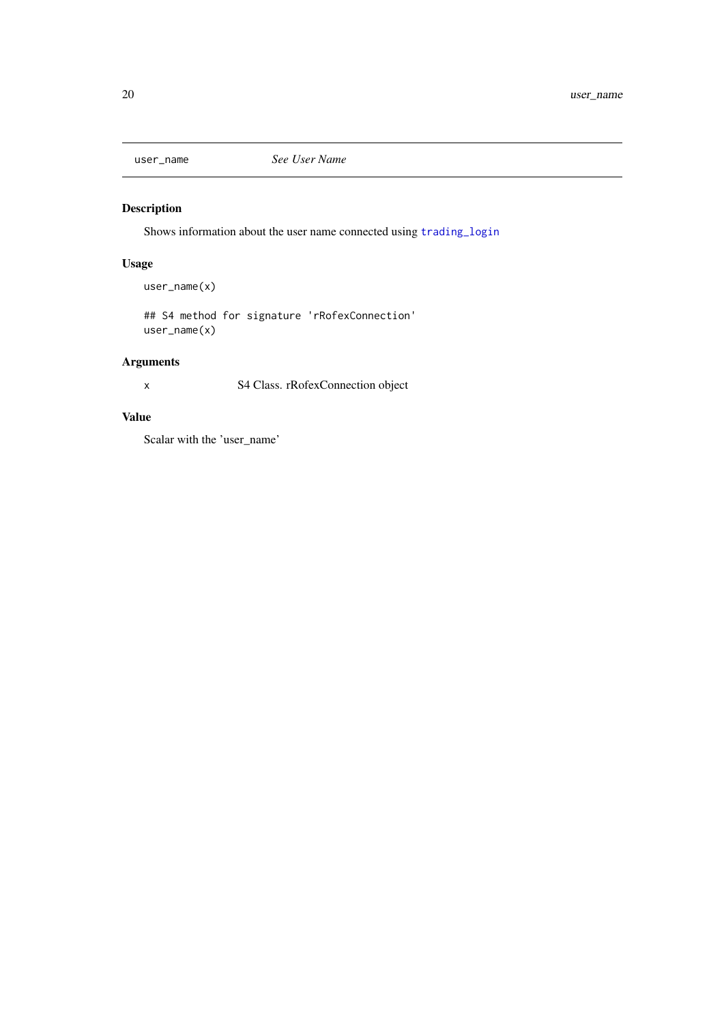<span id="page-19-0"></span>

## Description

Shows information about the user name connected using [trading\\_login](#page-10-1)

## Usage

user\_name(x)

## S4 method for signature 'rRofexConnection' user\_name(x)

## Arguments

x S4 Class. rRofexConnection object

## Value

Scalar with the 'user\_name'